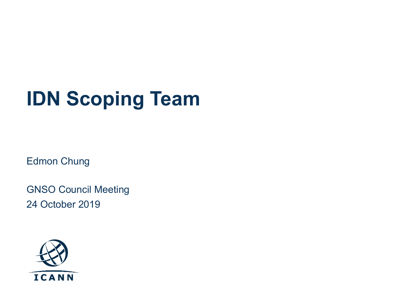# **IDN Scoping Team**

Edmon Chung

GNSO Council Meeting 24 October 2019

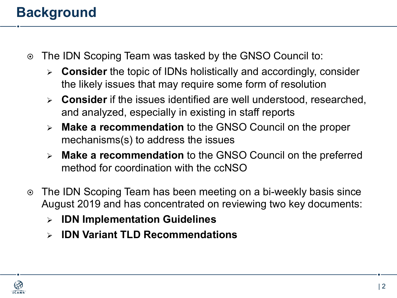## **Background**

- ⊙ The IDN Scoping Team was tasked by the GNSO Council to:
	- Ø **Consider** the topic of IDNs holistically and accordingly, consider the likely issues that may require some form of resolution
	- Ø **Consider** if the issues identified are well understood, researched, and analyzed, especially in existing in staff reports
	- Ø **Make a recommendation** to the GNSO Council on the proper mechanisms(s) to address the issues
	- Ø **Make a recommendation** to the GNSO Council on the preferred method for coordination with the ccNSO
- ⊙ The IDN Scoping Team has been meeting on a bi-weekly basis since August 2019 and has concentrated on reviewing two key documents:
	- Ø **IDN Implementation Guidelines**
	- Ø **IDN Variant TLD Recommendations**

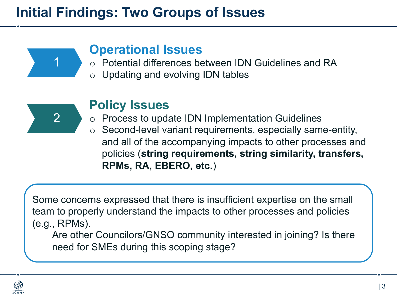## **Initial Findings: Two Groups of Issues**



### **Operational Issues**

- o Potential differences between IDN Guidelines and RA
- o Updating and evolving IDN tables



### **Policy Issues**

- o Process to update IDN Implementation Guidelines
- o Second-level variant requirements, especially same-entity, and all of the accompanying impacts to other processes and policies (**string requirements, string similarity, transfers, RPMs, RA, EBERO, etc.**)

Some concerns expressed that there is insufficient expertise on the small team to properly understand the impacts to other processes and policies (e.g., RPMs).

Are other Councilors/GNSO community interested in joining? Is there need for SMEs during this scoping stage?

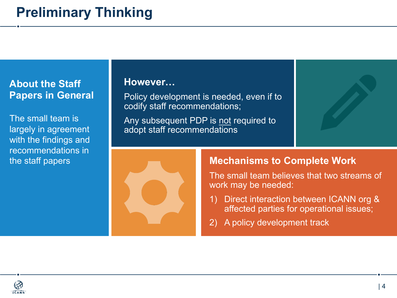#### **About the Staff Papers in General**

The small team is largely in agreement with the findings and recommendations in the staff papers

#### **However…**

Policy development is needed, even if to codify staff recommendations;

Any subsequent PDP is not required to adopt staff recommendations



#### **Mechanisms to Complete Work**

The small team believes that two streams of work may be needed:

- 1) Direct interaction between ICANN org & affected parties for operational issues;
- 2) A policy development track

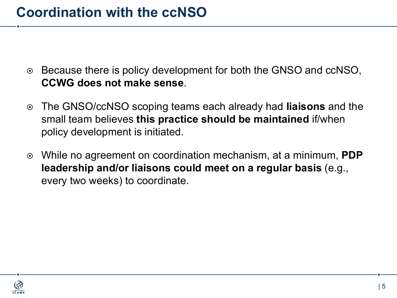- ⊙ Because there is policy development for both the GNSO and ccNSO, **CCWG does not make sense**.
- ¤ The GNSO/ccNSO scoping teams each already had **liaisons** and the small team believes **this practice should be maintained** if/when policy development is initiated.
- ¤ While no agreement on coordination mechanism, at a minimum, **PDP leadership and/or liaisons could meet on a regular basis** (e.g., every two weeks) to coordinate.